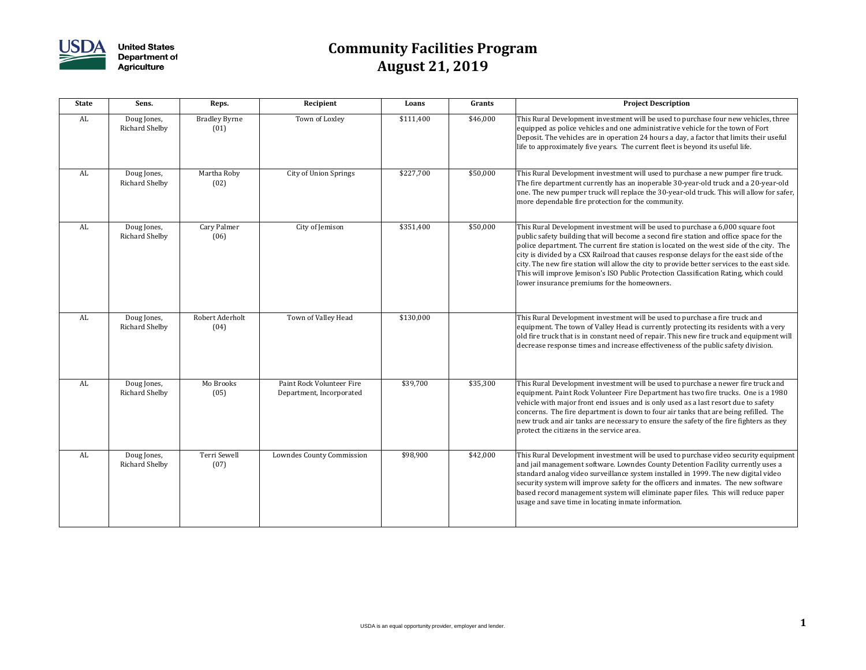

| <b>State</b> | Sens.                                | Reps.                        | Recipient                                             | Loans     | Grants   | <b>Project Description</b>                                                                                                                                                                                                                                                                                                                                                                                                                                                                                                                                                                            |
|--------------|--------------------------------------|------------------------------|-------------------------------------------------------|-----------|----------|-------------------------------------------------------------------------------------------------------------------------------------------------------------------------------------------------------------------------------------------------------------------------------------------------------------------------------------------------------------------------------------------------------------------------------------------------------------------------------------------------------------------------------------------------------------------------------------------------------|
| AL           | Doug Jones,<br><b>Richard Shelby</b> | <b>Bradley Byrne</b><br>(01) | Town of Loxley                                        | \$111,400 | \$46,000 | This Rural Development investment will be used to purchase four new vehicles, three<br>equipped as police vehicles and one administrative vehicle for the town of Fort<br>Deposit. The vehicles are in operation 24 hours a day, a factor that limits their useful<br>life to approximately five years. The current fleet is beyond its useful life.                                                                                                                                                                                                                                                  |
| AL           | Doug Jones,<br><b>Richard Shelby</b> | Martha Roby<br>(02)          | <b>City of Union Springs</b>                          | \$227,700 | \$50,000 | This Rural Development investment will used to purchase a new pumper fire truck.<br>The fire department currently has an inoperable 30-year-old truck and a 20-year-old<br>one. The new pumper truck will replace the 30-year-old truck. This will allow for safer,<br>more dependable fire protection for the community.                                                                                                                                                                                                                                                                             |
| AL           | Doug Jones,<br><b>Richard Shelby</b> | Cary Palmer<br>(06)          | City of Jemison                                       | \$351,400 | \$50,000 | This Rural Development investment will be used to purchase a 6,000 square foot<br>public safety building that will become a second fire station and office space for the<br>police department. The current fire station is located on the west side of the city. The<br>city is divided by a CSX Railroad that causes response delays for the east side of the<br>city. The new fire station will allow the city to provide better services to the east side.<br>This will improve Jemison's ISO Public Protection Classification Rating, which could<br>lower insurance premiums for the homeowners. |
| AL           | Doug Jones,<br><b>Richard Shelby</b> | Robert Aderholt<br>(04)      | Town of Valley Head                                   | \$130,000 |          | This Rural Development investment will be used to purchase a fire truck and<br>equipment. The town of Valley Head is currently protecting its residents with a very<br>old fire truck that is in constant need of repair. This new fire truck and equipment will<br>decrease response times and increase effectiveness of the public safety division.                                                                                                                                                                                                                                                 |
| AL           | Doug Jones,<br><b>Richard Shelby</b> | Mo Brooks<br>(05)            | Paint Rock Volunteer Fire<br>Department, Incorporated | \$39,700  | \$35,300 | This Rural Development investment will be used to purchase a newer fire truck and<br>equipment. Paint Rock Volunteer Fire Department has two fire trucks. One is a 1980<br>vehicle with major front end issues and is only used as a last resort due to safety<br>concerns. The fire department is down to four air tanks that are being refilled. The<br>new truck and air tanks are necessary to ensure the safety of the fire fighters as they<br>protect the citizens in the service area.                                                                                                        |
| AL           | Doug Jones,<br><b>Richard Shelby</b> | Terri Sewell<br>(07)         | <b>Lowndes County Commission</b>                      | \$98,900  | \$42,000 | This Rural Development investment will be used to purchase video security equipment<br>and jail management software. Lowndes County Detention Facility currently uses a<br>standard analog video surveillance system installed in 1999. The new digital video<br>security system will improve safety for the officers and inmates. The new software<br>based record management system will eliminate paper files. This will reduce paper<br>usage and save time in locating inmate information.                                                                                                       |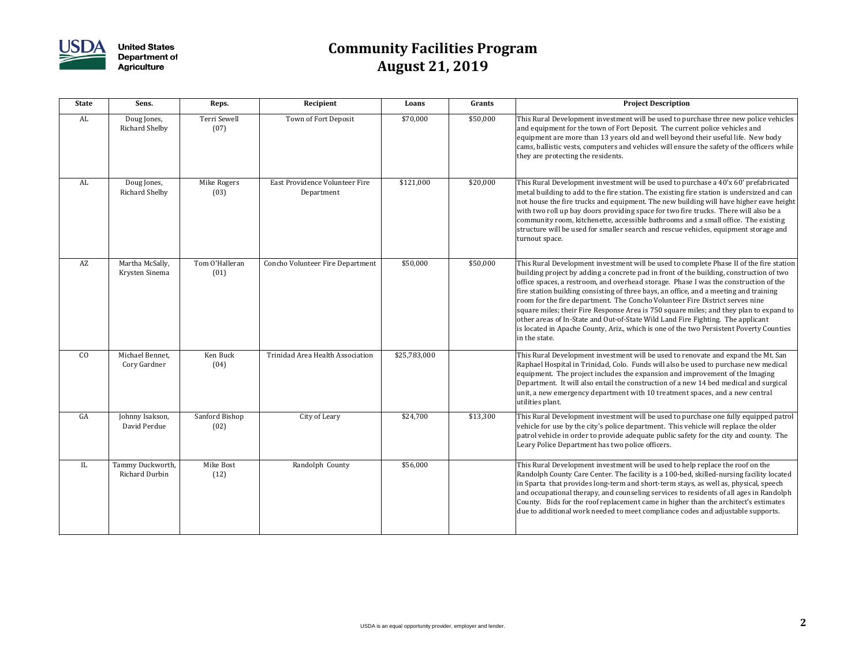

| <b>State</b> | Sens.                                     | Reps.                  | Recipient                                    | Loans        | Grants   | <b>Project Description</b>                                                                                                                                                                                                                                                                                                                                                                                                                                                                                                                                                                                                                                                                                                                   |
|--------------|-------------------------------------------|------------------------|----------------------------------------------|--------------|----------|----------------------------------------------------------------------------------------------------------------------------------------------------------------------------------------------------------------------------------------------------------------------------------------------------------------------------------------------------------------------------------------------------------------------------------------------------------------------------------------------------------------------------------------------------------------------------------------------------------------------------------------------------------------------------------------------------------------------------------------------|
| AL           | Doug Jones,<br><b>Richard Shelby</b>      | Terri Sewell<br>(07)   | Town of Fort Deposit                         | \$70,000     | \$50,000 | This Rural Development investment will be used to purchase three new police vehicles<br>and equipment for the town of Fort Deposit. The current police vehicles and<br>equipment are more than 13 years old and well beyond their useful life. New body<br>cams, ballistic vests, computers and vehicles will ensure the safety of the officers while<br>they are protecting the residents.                                                                                                                                                                                                                                                                                                                                                  |
| AL           | Doug Jones,<br><b>Richard Shelby</b>      | Mike Rogers<br>(03)    | East Providence Volunteer Fire<br>Department | \$121,000    | \$20,000 | This Rural Development investment will be used to purchase a 40'x 60' prefabricated<br>metal building to add to the fire station. The existing fire station is undersized and can<br>not house the fire trucks and equipment. The new building will have higher eave height<br>with two roll up bay doors providing space for two fire trucks. There will also be a<br>community room, kitchenette, accessible bathrooms and a small office. The existing<br>structure will be used for smaller search and rescue vehicles, equipment storage and<br>turnout space.                                                                                                                                                                          |
| AZ           | Martha McSally,<br>Krysten Sinema         | Tom O'Halleran<br>(01) | <b>Concho Volunteer Fire Department</b>      | \$50,000     | \$50,000 | This Rural Development investment will be used to complete Phase II of the fire station<br>building project by adding a concrete pad in front of the building, construction of two<br>office spaces, a restroom, and overhead storage. Phase I was the construction of the<br>fire station building consisting of three bays, an office, and a meeting and training<br>room for the fire department. The Concho Volunteer Fire District serves nine<br>square miles; their Fire Response Area is 750 square miles; and they plan to expand to<br>other areas of In-State and Out-of-State Wild Land Fire Fighting. The applicant<br>is located in Apache County, Ariz., which is one of the two Persistent Poverty Counties<br>in the state. |
| CO           | Michael Bennet,<br>Cory Gardner           | Ken Buck<br>(04)       | <b>Trinidad Area Health Association</b>      | \$25,783,000 |          | This Rural Development investment will be used to renovate and expand the Mt. San<br>Raphael Hospital in Trinidad, Colo. Funds will also be used to purchase new medical<br>equipment. The project includes the expansion and improvement of the Imaging<br>Department. It will also entail the construction of a new 14 bed medical and surgical<br>unit, a new emergency department with 10 treatment spaces, and a new central<br>utilities plant.                                                                                                                                                                                                                                                                                        |
| GA           | Johnny Isakson,<br>David Perdue           | Sanford Bishop<br>(02) | City of Leary                                | \$24,700     | \$13,300 | This Rural Development investment will be used to purchase one fully equipped patrol<br>vehicle for use by the city's police department. This vehicle will replace the older<br>patrol vehicle in order to provide adequate public safety for the city and county. The<br>Leary Police Department has two police officers.                                                                                                                                                                                                                                                                                                                                                                                                                   |
| IL           | Tammy Duckworth,<br><b>Richard Durbin</b> | Mike Bost<br>(12)      | Randolph County                              | \$56,000     |          | This Rural Development investment will be used to help replace the roof on the<br>Randolph County Care Center. The facility is a 100-bed, skilled-nursing facility located<br>in Sparta that provides long-term and short-term stays, as well as, physical, speech<br>and occupational therapy, and counseling services to residents of all ages in Randolph<br>County. Bids for the roof replacement came in higher than the architect's estimates<br>due to additional work needed to meet compliance codes and adjustable supports.                                                                                                                                                                                                       |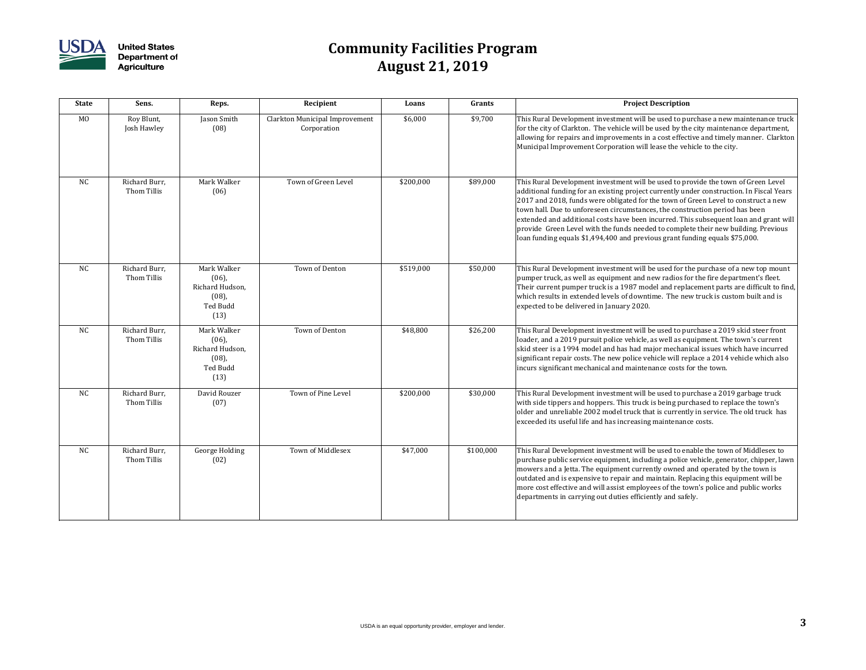

| <b>State</b>   | Sens.                        | Reps.                                                                      | Recipient                                            | Loans     | Grants    | <b>Project Description</b>                                                                                                                                                                                                                                                                                                                                                                                                                                                                                                                                                                                        |
|----------------|------------------------------|----------------------------------------------------------------------------|------------------------------------------------------|-----------|-----------|-------------------------------------------------------------------------------------------------------------------------------------------------------------------------------------------------------------------------------------------------------------------------------------------------------------------------------------------------------------------------------------------------------------------------------------------------------------------------------------------------------------------------------------------------------------------------------------------------------------------|
| M <sub>O</sub> | Roy Blunt,<br>Josh Hawley    | Jason Smith<br>(08)                                                        | <b>Clarkton Municipal Improvement</b><br>Corporation | \$6,000   | \$9,700   | This Rural Development investment will be used to purchase a new maintenance truck<br>for the city of Clarkton. The vehicle will be used by the city maintenance department,<br>allowing for repairs and improvements in a cost effective and timely manner. Clarkton<br>Municipal Improvement Corporation will lease the vehicle to the city.                                                                                                                                                                                                                                                                    |
| <b>NC</b>      | Richard Burr,<br>Thom Tillis | Mark Walker<br>(06)                                                        | Town of Green Level                                  | \$200,000 | \$89,000  | This Rural Development investment will be used to provide the town of Green Level<br>additional funding for an existing project currently under construction. In Fiscal Years<br>2017 and 2018, funds were obligated for the town of Green Level to construct a new<br>town hall. Due to unforeseen circumstances, the construction period has been<br>extended and additional costs have been incurred. This subsequent loan and grant will<br>provide Green Level with the funds needed to complete their new building. Previous<br>loan funding equals \$1,494,400 and previous grant funding equals \$75,000. |
| <b>NC</b>      | Richard Burr,<br>Thom Tillis | Mark Walker<br>$(06)$ ,<br>Richard Hudson,<br>$(08)$ ,<br>Ted Budd<br>(13) | Town of Denton                                       | \$519,000 | \$50,000  | This Rural Development investment will be used for the purchase of a new top mount<br>pumper truck, as well as equipment and new radios for the fire department's fleet.<br>Their current pumper truck is a 1987 model and replacement parts are difficult to find,<br>which results in extended levels of downtime. The new truck is custom built and is<br>expected to be delivered in January 2020.                                                                                                                                                                                                            |
| <b>NC</b>      | Richard Burr,<br>Thom Tillis | Mark Walker<br>$(06)$ ,<br>Richard Hudson,<br>$(08)$ ,<br>Ted Budd<br>(13) | Town of Denton                                       | \$48,800  | \$26,200  | This Rural Development investment will be used to purchase a 2019 skid steer front<br>loader, and a 2019 pursuit police vehicle, as well as equipment. The town's current<br>skid steer is a 1994 model and has had major mechanical issues which have incurred<br>significant repair costs. The new police vehicle will replace a 2014 vehicle which also<br>incurs significant mechanical and maintenance costs for the town.                                                                                                                                                                                   |
| <b>NC</b>      | Richard Burr,<br>Thom Tillis | David Rouzer<br>(07)                                                       | Town of Pine Level                                   | \$200,000 | \$30,000  | This Rural Development investment will be used to purchase a 2019 garbage truck<br>with side tippers and hoppers. This truck is being purchased to replace the town's<br>older and unreliable 2002 model truck that is currently in service. The old truck has<br>exceeded its useful life and has increasing maintenance costs.                                                                                                                                                                                                                                                                                  |
| <b>NC</b>      | Richard Burr,<br>Thom Tillis | <b>George Holding</b><br>(02)                                              | Town of Middlesex                                    | \$47,000  | \$100,000 | This Rural Development investment will be used to enable the town of Middlesex to<br>purchase public service equipment, including a police vehicle, generator, chipper, lawn<br>mowers and a Jetta. The equipment currently owned and operated by the town is<br>outdated and is expensive to repair and maintain. Replacing this equipment will be<br>more cost effective and will assist employees of the town's police and public works<br>departments in carrying out duties efficiently and safely.                                                                                                          |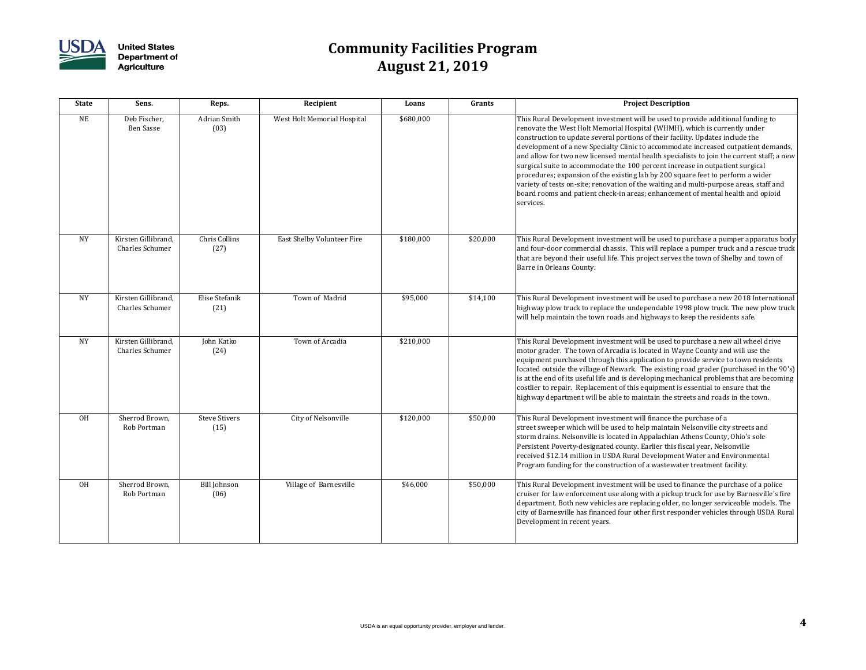

| <b>State</b> | Sens.                                         | Reps.                        | Recipient                         | Loans     | <b>Grants</b> | <b>Project Description</b>                                                                                                                                                                                                                                                                                                                                                                                                                                                                                                                                                                                                                                                                                                                                                                      |
|--------------|-----------------------------------------------|------------------------------|-----------------------------------|-----------|---------------|-------------------------------------------------------------------------------------------------------------------------------------------------------------------------------------------------------------------------------------------------------------------------------------------------------------------------------------------------------------------------------------------------------------------------------------------------------------------------------------------------------------------------------------------------------------------------------------------------------------------------------------------------------------------------------------------------------------------------------------------------------------------------------------------------|
| <b>NE</b>    | Deb Fischer,<br><b>Ben Sasse</b>              | <b>Adrian Smith</b><br>(03)  | West Holt Memorial Hospital       | \$680,000 |               | This Rural Development investment will be used to provide additional funding to<br>renovate the West Holt Memorial Hospital (WHMH), which is currently under<br>construction to update several portions of their facility. Updates include the<br>development of a new Specialty Clinic to accommodate increased outpatient demands,<br>and allow for two new licensed mental health specialists to join the current staff; a new<br>surgical suite to accommodate the 100 percent increase in outpatient surgical<br>procedures; expansion of the existing lab by 200 square feet to perform a wider<br>variety of tests on-site; renovation of the waiting and multi-purpose areas, staff and<br>board rooms and patient check-in areas; enhancement of mental health and opioid<br>services. |
| <b>NY</b>    | Kirsten Gillibrand,<br><b>Charles Schumer</b> | Chris Collins<br>(27)        | <b>East Shelby Volunteer Fire</b> | \$180,000 | \$20,000      | This Rural Development investment will be used to purchase a pumper apparatus body $\mid$<br>and four-door commercial chassis. This will replace a pumper truck and a rescue truck<br>that are beyond their useful life. This project serves the town of Shelby and town of<br>Barre in Orleans County.                                                                                                                                                                                                                                                                                                                                                                                                                                                                                         |
| <b>NY</b>    | Kirsten Gillibrand,<br><b>Charles Schumer</b> | Elise Stefanik<br>(21)       | Town of Madrid                    | \$95,000  | \$14,100      | This Rural Development investment will be used to purchase a new 2018 International<br>highway plow truck to replace the undependable 1998 plow truck. The new plow truck<br>will help maintain the town roads and highways to keep the residents safe.                                                                                                                                                                                                                                                                                                                                                                                                                                                                                                                                         |
| <b>NY</b>    | Kirsten Gillibrand,<br><b>Charles Schumer</b> | John Katko<br>(24)           | Town of Arcadia                   | \$210,000 |               | This Rural Development investment will be used to purchase a new all wheel drive<br>motor grader. The town of Arcadia is located in Wayne County and will use the<br>equipment purchased through this application to provide service to town residents<br>located outside the village of Newark. The existing road grader (purchased in the 90's)<br>is at the end of its useful life and is developing mechanical problems that are becoming<br>costlier to repair. Replacement of this equipment is essential to ensure that the<br>highway department will be able to maintain the streets and roads in the town.                                                                                                                                                                            |
| <b>OH</b>    | Sherrod Brown,<br>Rob Portman                 | <b>Steve Stivers</b><br>(15) | City of Nelsonville               | \$120,000 | \$50,000      | This Rural Development investment will finance the purchase of a<br>street sweeper which will be used to help maintain Nelsonville city streets and<br>storm drains. Nelsonville is located in Appalachian Athens County, Ohio's sole<br>Persistent Poverty-designated county. Earlier this fiscal year, Nelsonville<br>received \$12.14 million in USDA Rural Development Water and Environmental<br>Program funding for the construction of a wastewater treatment facility.                                                                                                                                                                                                                                                                                                                  |
| <b>OH</b>    | Sherrod Brown,<br>Rob Portman                 | Bill Johnson<br>(06)         | Village of Barnesville            | \$46,000  | \$50,000      | This Rural Development investment will be used to finance the purchase of a police<br>cruiser for law enforcement use along with a pickup truck for use by Barnesville's fire<br>department. Both new vehicles are replacing older, no longer serviceable models. The<br>city of Barnesville has financed four other first responder vehicles through USDA Rural<br>Development in recent years.                                                                                                                                                                                                                                                                                                                                                                                                |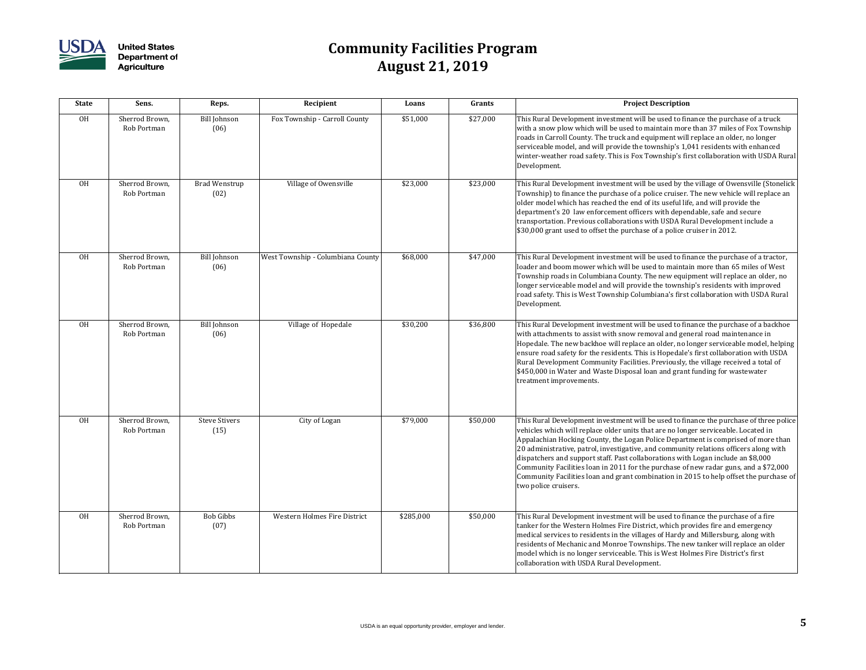

| <b>State</b> | Sens.                         | Reps.                        | Recipient                         | Loans     | Grants   | <b>Project Description</b>                                                                                                                                                                                                                                                                                                                                                                                                                                                                                                                                                                                                                               |
|--------------|-------------------------------|------------------------------|-----------------------------------|-----------|----------|----------------------------------------------------------------------------------------------------------------------------------------------------------------------------------------------------------------------------------------------------------------------------------------------------------------------------------------------------------------------------------------------------------------------------------------------------------------------------------------------------------------------------------------------------------------------------------------------------------------------------------------------------------|
| <b>OH</b>    | Sherrod Brown,<br>Rob Portman | Bill Johnson<br>(06)         | Fox Township - Carroll County     | \$51,000  | \$27,000 | This Rural Development investment will be used to finance the purchase of a truck<br>with a snow plow which will be used to maintain more than 37 miles of Fox Township<br>roads in Carroll County. The truck and equipment will replace an older, no longer<br>serviceable model, and will provide the township's 1,041 residents with enhanced<br>winter-weather road safety. This is Fox Township's first collaboration with USDA Rural<br>Development.                                                                                                                                                                                               |
| <b>OH</b>    | Sherrod Brown,<br>Rob Portman | Brad Wenstrup<br>(02)        | Village of Owensville             | \$23,000  | \$23,000 | This Rural Development investment will be used by the village of Owensville (Stonelick<br>Township) to finance the purchase of a police cruiser. The new vehicle will replace an<br>older model which has reached the end of its useful life, and will provide the<br>department's 20 law enforcement officers with dependable, safe and secure<br>transportation. Previous collaborations with USDA Rural Development include a<br>\$30,000 grant used to offset the purchase of a police cruiser in 2012.                                                                                                                                              |
| <b>OH</b>    | Sherrod Brown,<br>Rob Portman | Bill Johnson<br>(06)         | West Township - Columbiana County | \$68,000  | \$47,000 | This Rural Development investment will be used to finance the purchase of a tractor,<br>loader and boom mower which will be used to maintain more than 65 miles of West<br>Township roads in Columbiana County. The new equipment will replace an older, no<br>longer serviceable model and will provide the township's residents with improved<br>road safety. This is West Township Columbiana's first collaboration with USDA Rural<br>Development.                                                                                                                                                                                                   |
| <b>OH</b>    | Sherrod Brown,<br>Rob Portman | Bill Johnson<br>(06)         | Village of Hopedale               | \$30,200  | \$36,800 | This Rural Development investment will be used to finance the purchase of a backhoe<br>with attachments to assist with snow removal and general road maintenance in<br>Hopedale. The new backhoe will replace an older, no longer serviceable model, helping<br>ensure road safety for the residents. This is Hopedale's first collaboration with USDA<br>Rural Development Community Facilities. Previously, the village received a total of<br>\$450,000 in Water and Waste Disposal loan and grant funding for wastewater<br>treatment improvements.                                                                                                  |
| <b>OH</b>    | Sherrod Brown,<br>Rob Portman | <b>Steve Stivers</b><br>(15) | City of Logan                     | \$79,000  | \$50,000 | This Rural Development investment will be used to finance the purchase of three police<br>vehicles which will replace older units that are no longer serviceable. Located in<br>Appalachian Hocking County, the Logan Police Department is comprised of more than<br>20 administrative, patrol, investigative, and community relations officers along with<br>dispatchers and support staff. Past collaborations with Logan include an \$8,000<br>Community Facilities loan in 2011 for the purchase of new radar guns, and a \$72,000<br>Community Facilities loan and grant combination in 2015 to help offset the purchase of<br>two police cruisers. |
| <b>OH</b>    | Sherrod Brown,<br>Rob Portman | Bob Gibbs<br>(07)            | Western Holmes Fire District      | \$285,000 | \$50,000 | This Rural Development investment will be used to finance the purchase of a fire<br>tanker for the Western Holmes Fire District, which provides fire and emergency<br>medical services to residents in the villages of Hardy and Millersburg, along with<br>residents of Mechanic and Monroe Townships. The new tanker will replace an older<br>model which is no longer serviceable. This is West Holmes Fire District's first<br>collaboration with USDA Rural Development.                                                                                                                                                                            |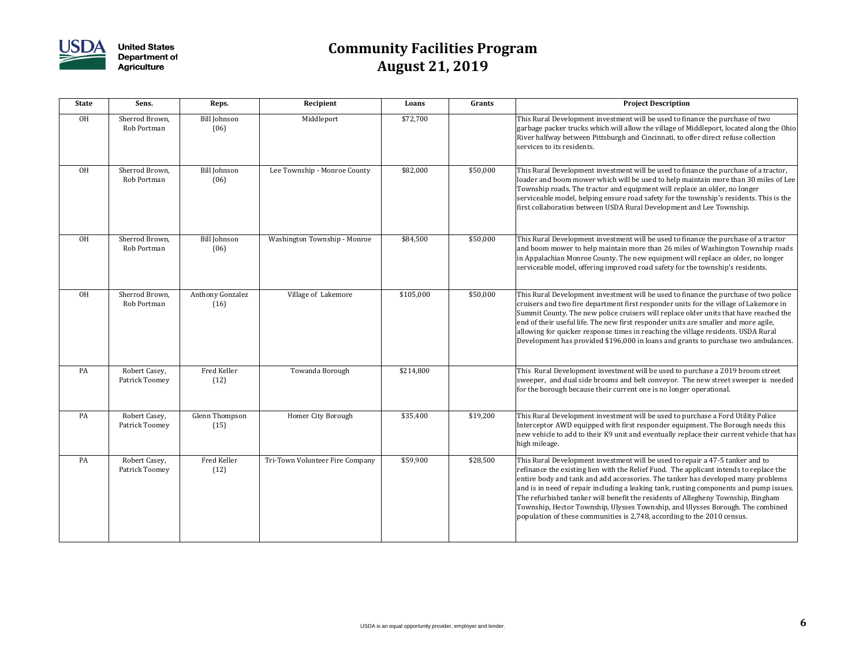

| <b>State</b> | Sens.                           | Reps.                           | Recipient                       | Loans     | Grants   | <b>Project Description</b>                                                                                                                                                                                                                                                                                                                                                                                                                                                                                                                                                                             |
|--------------|---------------------------------|---------------------------------|---------------------------------|-----------|----------|--------------------------------------------------------------------------------------------------------------------------------------------------------------------------------------------------------------------------------------------------------------------------------------------------------------------------------------------------------------------------------------------------------------------------------------------------------------------------------------------------------------------------------------------------------------------------------------------------------|
| <b>OH</b>    | Sherrod Brown,<br>Rob Portman   | <b>Bill Johnson</b><br>(06)     | Middleport                      | \$72,700  |          | This Rural Development investment will be used to finance the purchase of two<br>garbage packer trucks which will allow the village of Middleport, located along the Ohio<br>River halfway between Pittsburgh and Cincinnati, to offer direct refuse collection<br>services to its residents.                                                                                                                                                                                                                                                                                                          |
| <b>OH</b>    | Sherrod Brown,<br>Rob Portman   | <b>Bill Johnson</b><br>(06)     | Lee Township - Monroe County    | \$82,000  | \$50,000 | This Rural Development investment will be used to finance the purchase of a tractor,<br>loader and boom mower which will be used to help maintain more than 30 miles of Lee<br>Township roads. The tractor and equipment will replace an older, no longer<br>serviceable model, helping ensure road safety for the township's residents. This is the<br>first collaboration between USDA Rural Development and Lee Township.                                                                                                                                                                           |
| <b>OH</b>    | Sherrod Brown,<br>Rob Portman   | <b>Bill Johnson</b><br>(06)     | Washington Township - Monroe    | \$84,500  | \$50,000 | This Rural Development investment will be used to finance the purchase of a tractor<br>and boom mower to help maintain more than 26 miles of Washington Township roads<br>in Appalachian Monroe County. The new equipment will replace an older, no longer<br>serviceable model, offering improved road safety for the township's residents.                                                                                                                                                                                                                                                           |
| <b>OH</b>    | Sherrod Brown,<br>Rob Portman   | <b>Anthony Gonzalez</b><br>(16) | Village of Lakemore             | \$105,000 | \$50,000 | This Rural Development investment will be used to finance the purchase of two police<br>cruisers and two fire department first responder units for the village of Lakemore in<br>Summit County. The new police cruisers will replace older units that have reached the<br>end of their useful life. The new first responder units are smaller and more agile,<br>allowing for quicker response times in reaching the village residents. USDA Rural<br>Development has provided \$196,000 in loans and grants to purchase two ambulances.                                                               |
| PA           | Robert Casey,<br>Patrick Toomey | Fred Keller<br>(12)             | Towanda Borough                 | \$214,800 |          | This Rural Development investment will be used to purchase a 2019 broom street<br>sweeper, and dual side brooms and belt conveyor. The new street sweeper is needed<br>for the borough because their current one is no longer operational.                                                                                                                                                                                                                                                                                                                                                             |
| PA           | Robert Casey,<br>Patrick Toomey | Glenn Thompson<br>(15)          | <b>Homer City Borough</b>       | \$35,400  | \$19,200 | This Rural Development investment will be used to purchase a Ford Utility Police<br>Interceptor AWD equipped with first responder equipment. The Borough needs this<br>new vehicle to add to their K9 unit and eventually replace their current vehicle that has<br>high mileage.                                                                                                                                                                                                                                                                                                                      |
| PA           | Robert Casey,<br>Patrick Toomey | Fred Keller<br>(12)             | Tri-Town Volunteer Fire Company | \$59,900  | \$28,500 | This Rural Development investment will be used to repair a 47-5 tanker and to<br>refinance the existing lien with the Relief Fund. The applicant intends to replace the<br>entire body and tank and add accessories. The tanker has developed many problems<br>and is in need of repair including a leaking tank, rusting components and pump issues.<br>The refurbished tanker will benefit the residents of Allegheny Township, Bingham<br>Township, Hector Township, Ulysses Township, and Ulysses Borough. The combined<br>population of these communities is 2,748, according to the 2010 census. |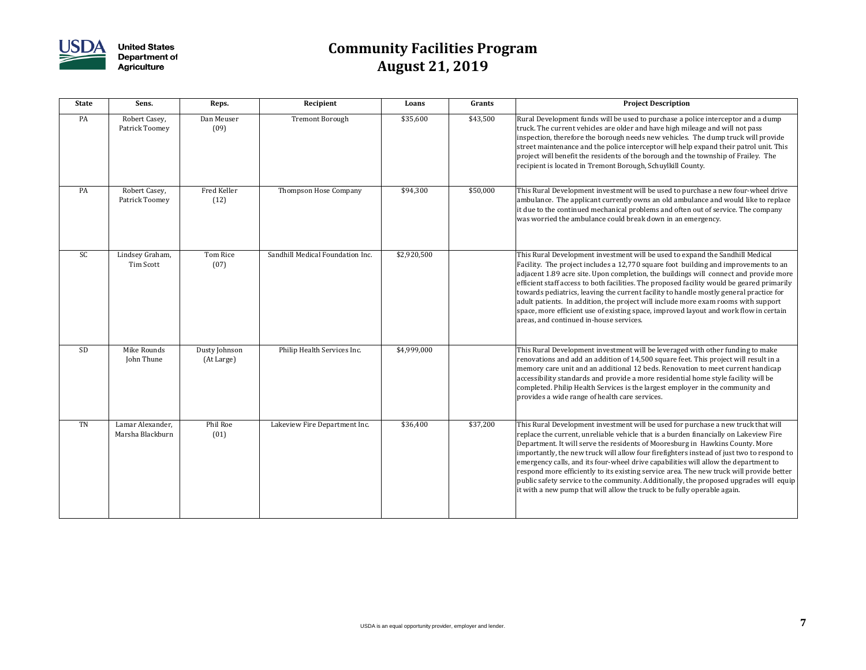

| <b>State</b> | Sens.                                | Reps.                       | Recipient                        | Loans       | Grants   | <b>Project Description</b>                                                                                                                                                                                                                                                                                                                                                                                                                                                                                                                                                                                                                                                                                        |
|--------------|--------------------------------------|-----------------------------|----------------------------------|-------------|----------|-------------------------------------------------------------------------------------------------------------------------------------------------------------------------------------------------------------------------------------------------------------------------------------------------------------------------------------------------------------------------------------------------------------------------------------------------------------------------------------------------------------------------------------------------------------------------------------------------------------------------------------------------------------------------------------------------------------------|
| PA           | Robert Casey,<br>Patrick Toomey      | Dan Meuser<br>(09)          | <b>Tremont Borough</b>           | \$35,600    | \$43,500 | Rural Development funds will be used to purchase a police interceptor and a dump<br>truck. The current vehicles are older and have high mileage and will not pass<br>inspection, therefore the borough needs new vehicles. The dump truck will provide<br>street maintenance and the police interceptor will help expand their patrol unit. This<br>project will benefit the residents of the borough and the township of Frailey. The<br>recipient is located in Tremont Borough, Schuylkill County.                                                                                                                                                                                                             |
| PA           | Robert Casey,<br>Patrick Toomey      | Fred Keller<br>(12)         | Thompson Hose Company            | \$94,300    | \$50,000 | This Rural Development investment will be used to purchase a new four-wheel drive<br>ambulance. The applicant currently owns an old ambulance and would like to replace<br>it due to the continued mechanical problems and often out of service. The company<br>was worried the ambulance could break down in an emergency.                                                                                                                                                                                                                                                                                                                                                                                       |
| <b>SC</b>    | Lindsey Graham,<br>Tim Scott         | Tom Rice<br>(07)            | Sandhill Medical Foundation Inc. | \$2,920,500 |          | This Rural Development investment will be used to expand the Sandhill Medical<br>Facility. The project includes a 12,770 square foot building and improvements to an<br>adjacent 1.89 acre site. Upon completion, the buildings will connect and provide more<br>efficient staff access to both facilities. The proposed facility would be geared primarily<br>towards pediatrics, leaving the current facility to handle mostly general practice for<br>adult patients. In addition, the project will include more exam rooms with support<br>space, more efficient use of existing space, improved layout and work flow in certain<br>areas, and continued in-house services.                                   |
| <b>SD</b>    | Mike Rounds<br>John Thune            | Dusty Johnson<br>(At Large) | Philip Health Services Inc.      | \$4,999,000 |          | This Rural Development investment will be leveraged with other funding to make<br>renovations and add an addition of 14,500 square feet. This project will result in a<br>memory care unit and an additional 12 beds. Renovation to meet current handicap<br>accessibility standards and provide a more residential home style facility will be<br>completed. Philip Health Services is the largest employer in the community and<br>provides a wide range of health care services.                                                                                                                                                                                                                               |
| TN           | Lamar Alexander,<br>Marsha Blackburn | Phil Roe<br>(01)            | Lakeview Fire Department Inc.    | \$36,400    | \$37,200 | This Rural Development investment will be used for purchase a new truck that will<br>replace the current, unreliable vehicle that is a burden financially on Lakeview Fire<br>Department. It will serve the residents of Mooresburg in Hawkins County. More<br>importantly, the new truck will allow four firefighters instead of just two to respond to<br>emergency calls, and its four-wheel drive capabilities will allow the department to<br>respond more efficiently to its existing service area. The new truck will provide better<br>public safety service to the community. Additionally, the proposed upgrades will equip<br>it with a new pump that will allow the truck to be fully operable again. |